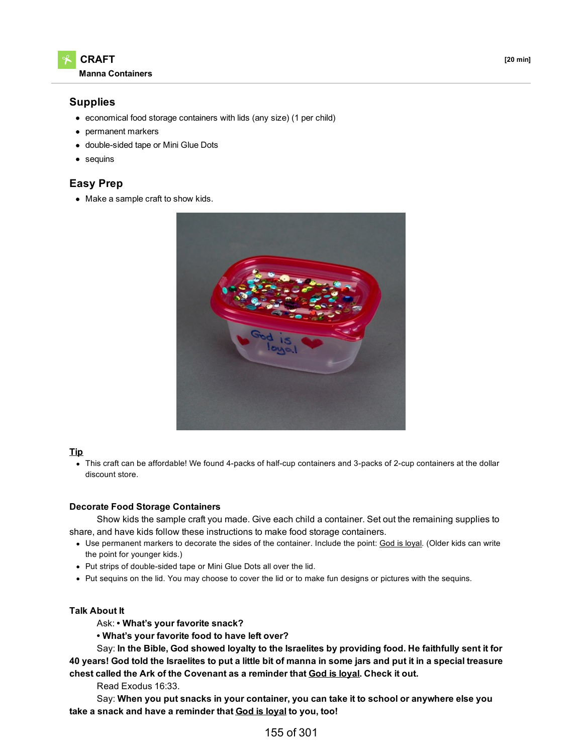

## **Supplies**

- economical food storage containers with lids (any size) (1 per child)
- permanent markers
- double-sided tape or Mini Glue Dots
- sequins

# **Easy Prep**

• Make a sample craft to show kids.



### **Tip**

This craft can be affordable! We found 4-packs of half-cup containers and 3-packs of 2-cup containers at the dollar discount store.

### **Decorate Food Storage Containers**

Show kids the sample craft you made. Give each child a container. Set out the remaining supplies to share, and have kids follow these instructions to make food storage containers.

- Use permanent markers to decorate the sides of the container. Include the point: God is loyal. (Older kids can write the point for younger kids.)
- Put strips of double-sided tape or Mini Glue Dots all over the lid.
- Put sequins on the lid. You may choose to cover the lid or to make fun designs or pictures with the sequins.

### **Talk About It**

Ask: **• What's your favorite snack?**

**• What's your favorite food to have left over?**

Say: **In the Bible, God showed loyalty to the Israelites by providing food. He faithfully sent it for** 40 years! God told the Israelites to put a little bit of manna in some jars and put it in a special treasure **chest called the Ark of the Covenant as a reminder that God is loyal. Check it out.**

Read Exodus 16:33.

Say: **When you put snacks in your container, you can take it to school or anywhere else you take a snack and have a reminder that God is loyal to you, too!**